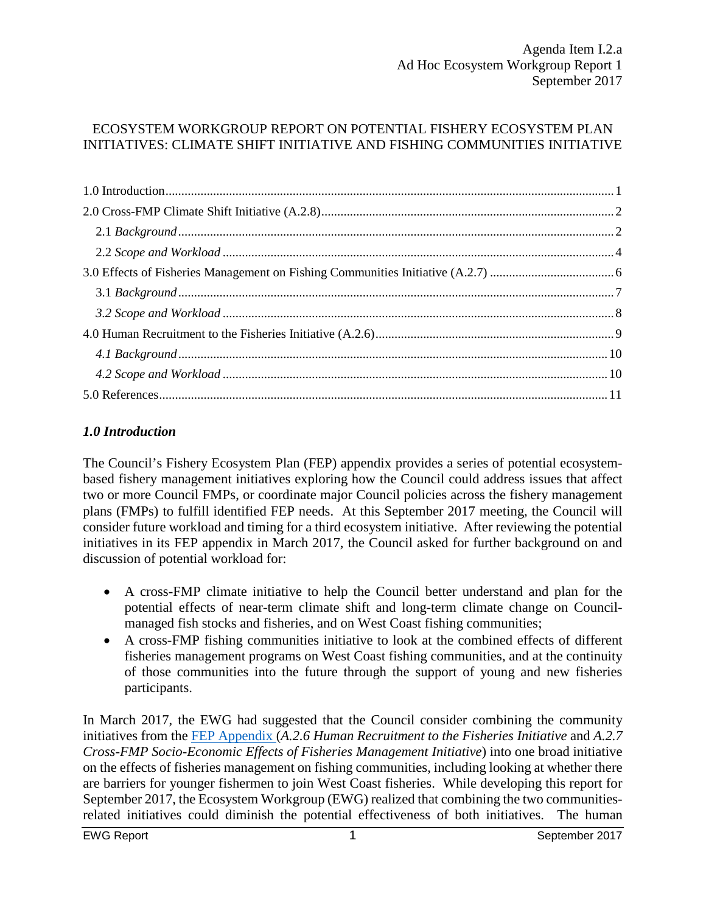### ECOSYSTEM WORKGROUP REPORT ON POTENTIAL FISHERY ECOSYSTEM PLAN INITIATIVES: CLIMATE SHIFT INITIATIVE AND FISHING COMMUNITIES INITIATIVE

### <span id="page-0-0"></span>*1.0 Introduction*

The Council's Fishery Ecosystem Plan (FEP) appendix provides a series of potential ecosystembased fishery management initiatives exploring how the Council could address issues that affect two or more Council FMPs, or coordinate major Council policies across the fishery management plans (FMPs) to fulfill identified FEP needs. At this September 2017 meeting, the Council will consider future workload and timing for a third ecosystem initiative. After reviewing the potential initiatives in its FEP appendix in March 2017, the Council asked for further background on and discussion of potential workload for:

- A cross-FMP climate initiative to help the Council better understand and plan for the potential effects of near-term climate shift and long-term climate change on Councilmanaged fish stocks and fisheries, and on West Coast fishing communities;
- A cross-FMP fishing communities initiative to look at the combined effects of different fisheries management programs on West Coast fishing communities, and at the continuity of those communities into the future through the support of young and new fisheries participants.

In March 2017, the EWG had suggested that the Council consider combining the community initiatives from the [FEP Appendix \(](http://www.pcouncil.org/ecosystem-based-management/fep/)*A.2.6 Human Recruitment to the Fisheries Initiative* and *A.2.7 Cross-FMP Socio-Economic Effects of Fisheries Management Initiative*) into one broad initiative on the effects of fisheries management on fishing communities, including looking at whether there are barriers for younger fishermen to join West Coast fisheries. While developing this report for September 2017, the Ecosystem Workgroup (EWG) realized that combining the two communitiesrelated initiatives could diminish the potential effectiveness of both initiatives. The human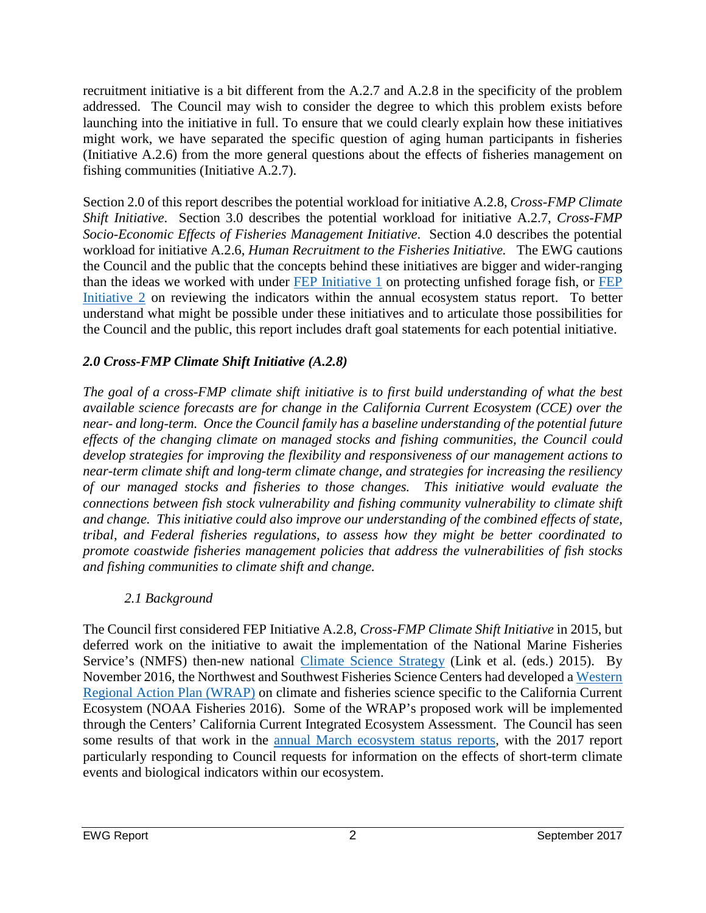recruitment initiative is a bit different from the A.2.7 and A.2.8 in the specificity of the problem addressed. The Council may wish to consider the degree to which this problem exists before launching into the initiative in full. To ensure that we could clearly explain how these initiatives might work, we have separated the specific question of aging human participants in fisheries (Initiative A.2.6) from the more general questions about the effects of fisheries management on fishing communities (Initiative A.2.7).

Section 2.0 of this report describes the potential workload for initiative A.2.8, *Cross-FMP Climate Shift Initiative*. Section 3.0 describes the potential workload for initiative A.2.7, *Cross-FMP Socio-Economic Effects of Fisheries Management Initiative*. Section 4.0 describes the potential workload for initiative A.2.6, *Human Recruitment to the Fisheries Initiative.* The EWG cautions the Council and the public that the concepts behind these initiatives are bigger and wider-ranging than the ideas we worked with under [FEP Initiative 1](http://www.pcouncil.org/ecosystem-based-management/amendment1/) on protecting unfished forage fish, or FEP [Initiative 2](http://www.pcouncil.org/ecosystem-based-management/coordinated-ecosystem-indicator-review-initiative/webinar-series-on-ecosystem-indicators/) on reviewing the indicators within the annual ecosystem status report. To better understand what might be possible under these initiatives and to articulate those possibilities for the Council and the public, this report includes draft goal statements for each potential initiative.

## <span id="page-1-0"></span>*2.0 Cross-FMP Climate Shift Initiative (A.2.8)*

*The goal of a cross-FMP climate shift initiative is to first build understanding of what the best available science forecasts are for change in the California Current Ecosystem (CCE) over the near- and long-term. Once the Council family has a baseline understanding of the potential future effects of the changing climate on managed stocks and fishing communities, the Council could develop strategies for improving the flexibility and responsiveness of our management actions to near-term climate shift and long-term climate change, and strategies for increasing the resiliency of our managed stocks and fisheries to those changes. This initiative would evaluate the connections between fish stock vulnerability and fishing community vulnerability to climate shift and change. This initiative could also improve our understanding of the combined effects of state, tribal, and Federal fisheries regulations, to assess how they might be better coordinated to promote coastwide fisheries management policies that address the vulnerabilities of fish stocks and fishing communities to climate shift and change.*

### *2.1 Background*

<span id="page-1-1"></span>The Council first considered FEP Initiative A.2.8, *Cross-FMP Climate Shift Initiative* in 2015, but deferred work on the initiative to await the implementation of the National Marine Fisheries Service's (NMFS) then-new national [Climate Science Strategy](http://www.st.nmfs.noaa.gov/ecosystems/climate/national-climate-strategy) (Link et al. (eds.) 2015). By November 2016, the Northwest and Southwest Fisheries Science Centers had developed a [Western](http://www.st.nmfs.noaa.gov/ecosystems/climate/rap/western-regional-action-plan)  [Regional Action Plan \(WRAP\)](http://www.st.nmfs.noaa.gov/ecosystems/climate/rap/western-regional-action-plan) on climate and fisheries science specific to the California Current Ecosystem (NOAA Fisheries 2016). Some of the WRAP's proposed work will be implemented through the Centers' California Current Integrated Ecosystem Assessment. The Council has seen some results of that work in the [annual March ecosystem status reports,](http://www.pcouncil.org/ecosystem-based-management/annual-state-of-the-california-current-ecosystem/) with the 2017 report particularly responding to Council requests for information on the effects of short-term climate events and biological indicators within our ecosystem.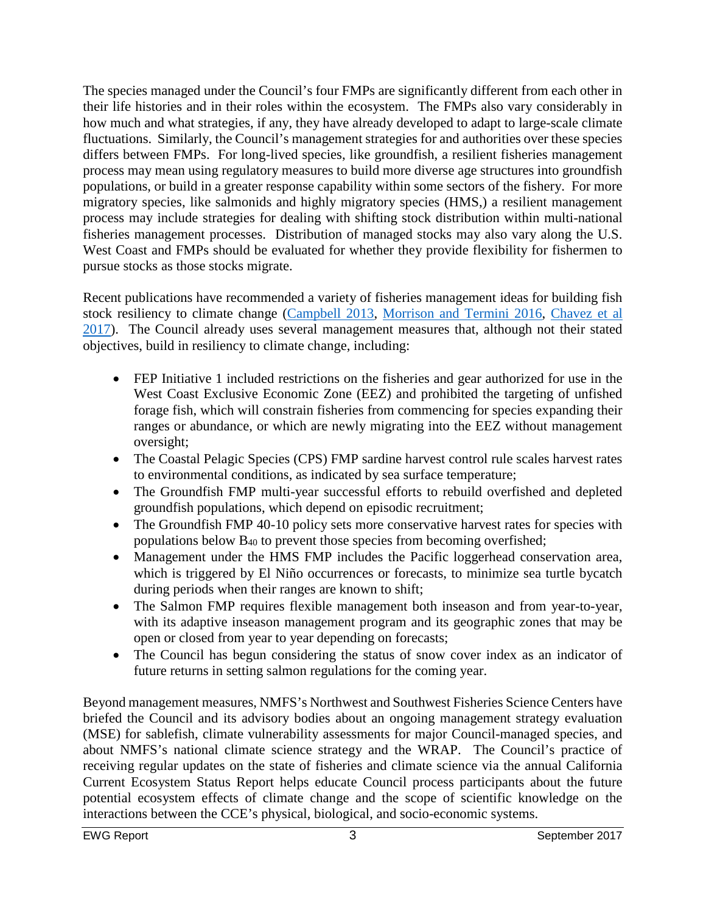The species managed under the Council's four FMPs are significantly different from each other in their life histories and in their roles within the ecosystem. The FMPs also vary considerably in how much and what strategies, if any, they have already developed to adapt to large-scale climate fluctuations. Similarly, the Council's management strategies for and authorities over these species differs between FMPs. For long-lived species, like groundfish, a resilient fisheries management process may mean using regulatory measures to build more diverse age structures into groundfish populations, or build in a greater response capability within some sectors of the fishery. For more migratory species, like salmonids and highly migratory species (HMS,) a resilient management process may include strategies for dealing with shifting stock distribution within multi-national fisheries management processes. Distribution of managed stocks may also vary along the U.S. West Coast and FMPs should be evaluated for whether they provide flexibility for fishermen to pursue stocks as those stocks migrate.

Recent publications have recommended a variety of fisheries management ideas for building fish stock resiliency to climate change [\(Campbell 2013,](http://www.managingfisheries.org/2003-conference-1-1/) [Morrison and Termini 2016,](http://www.nmfs.noaa.gov/sfa/publications/technical-memos/nmfs_osf_tm6.pdf) [Chavez et al](http://www.oceansciencetrust.org/wp-content/uploads/2016/06/Climate-and-Fisheries_GuidanceDoc.pdf)  [2017\)](http://www.oceansciencetrust.org/wp-content/uploads/2016/06/Climate-and-Fisheries_GuidanceDoc.pdf). The Council already uses several management measures that, although not their stated objectives, build in resiliency to climate change, including:

- FEP Initiative 1 included restrictions on the fisheries and gear authorized for use in the West Coast Exclusive Economic Zone (EEZ) and prohibited the targeting of unfished forage fish, which will constrain fisheries from commencing for species expanding their ranges or abundance, or which are newly migrating into the EEZ without management oversight;
- The Coastal Pelagic Species (CPS) FMP sardine harvest control rule scales harvest rates to environmental conditions, as indicated by sea surface temperature;
- The Groundfish FMP multi-year successful efforts to rebuild overfished and depleted groundfish populations, which depend on episodic recruitment;
- The Groundfish FMP 40-10 policy sets more conservative harvest rates for species with populations below  $B_{40}$  to prevent those species from becoming overfished;
- Management under the HMS FMP includes the Pacific loggerhead conservation area, which is triggered by El Niño occurrences or forecasts, to minimize sea turtle bycatch during periods when their ranges are known to shift;
- The Salmon FMP requires flexible management both inseason and from year-to-year, with its adaptive inseason management program and its geographic zones that may be open or closed from year to year depending on forecasts;
- The Council has begun considering the status of snow cover index as an indicator of future returns in setting salmon regulations for the coming year.

Beyond management measures, NMFS's Northwest and Southwest Fisheries Science Centers have briefed the Council and its advisory bodies about an ongoing management strategy evaluation (MSE) for sablefish, climate vulnerability assessments for major Council-managed species, and about NMFS's national climate science strategy and the WRAP. The Council's practice of receiving regular updates on the state of fisheries and climate science via the annual California Current Ecosystem Status Report helps educate Council process participants about the future potential ecosystem effects of climate change and the scope of scientific knowledge on the interactions between the CCE's physical, biological, and socio-economic systems.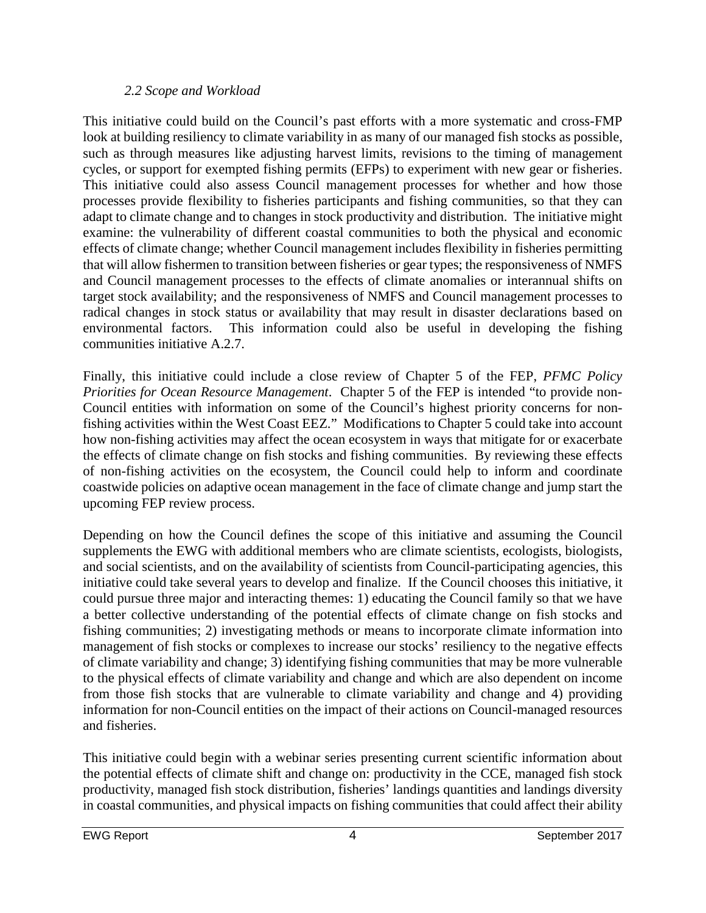#### *2.2 Scope and Workload*

<span id="page-3-0"></span>This initiative could build on the Council's past efforts with a more systematic and cross-FMP look at building resiliency to climate variability in as many of our managed fish stocks as possible, such as through measures like adjusting harvest limits, revisions to the timing of management cycles, or support for exempted fishing permits (EFPs) to experiment with new gear or fisheries. This initiative could also assess Council management processes for whether and how those processes provide flexibility to fisheries participants and fishing communities, so that they can adapt to climate change and to changes in stock productivity and distribution. The initiative might examine: the vulnerability of different coastal communities to both the physical and economic effects of climate change; whether Council management includes flexibility in fisheries permitting that will allow fishermen to transition between fisheries or gear types; the responsiveness of NMFS and Council management processes to the effects of climate anomalies or interannual shifts on target stock availability; and the responsiveness of NMFS and Council management processes to radical changes in stock status or availability that may result in disaster declarations based on environmental factors. This information could also be useful in developing the fishing communities initiative A.2.7.

Finally, this initiative could include a close review of Chapter 5 of the FEP, *PFMC Policy Priorities for Ocean Resource Management*. Chapter 5 of the FEP is intended "to provide non-Council entities with information on some of the Council's highest priority concerns for nonfishing activities within the West Coast EEZ." Modifications to Chapter 5 could take into account how non-fishing activities may affect the ocean ecosystem in ways that mitigate for or exacerbate the effects of climate change on fish stocks and fishing communities. By reviewing these effects of non-fishing activities on the ecosystem, the Council could help to inform and coordinate coastwide policies on adaptive ocean management in the face of climate change and jump start the upcoming FEP review process.

Depending on how the Council defines the scope of this initiative and assuming the Council supplements the EWG with additional members who are climate scientists, ecologists, biologists, and social scientists, and on the availability of scientists from Council-participating agencies, this initiative could take several years to develop and finalize. If the Council chooses this initiative, it could pursue three major and interacting themes: 1) educating the Council family so that we have a better collective understanding of the potential effects of climate change on fish stocks and fishing communities; 2) investigating methods or means to incorporate climate information into management of fish stocks or complexes to increase our stocks' resiliency to the negative effects of climate variability and change; 3) identifying fishing communities that may be more vulnerable to the physical effects of climate variability and change and which are also dependent on income from those fish stocks that are vulnerable to climate variability and change and 4) providing information for non-Council entities on the impact of their actions on Council-managed resources and fisheries.

This initiative could begin with a webinar series presenting current scientific information about the potential effects of climate shift and change on: productivity in the CCE, managed fish stock productivity, managed fish stock distribution, fisheries' landings quantities and landings diversity in coastal communities, and physical impacts on fishing communities that could affect their ability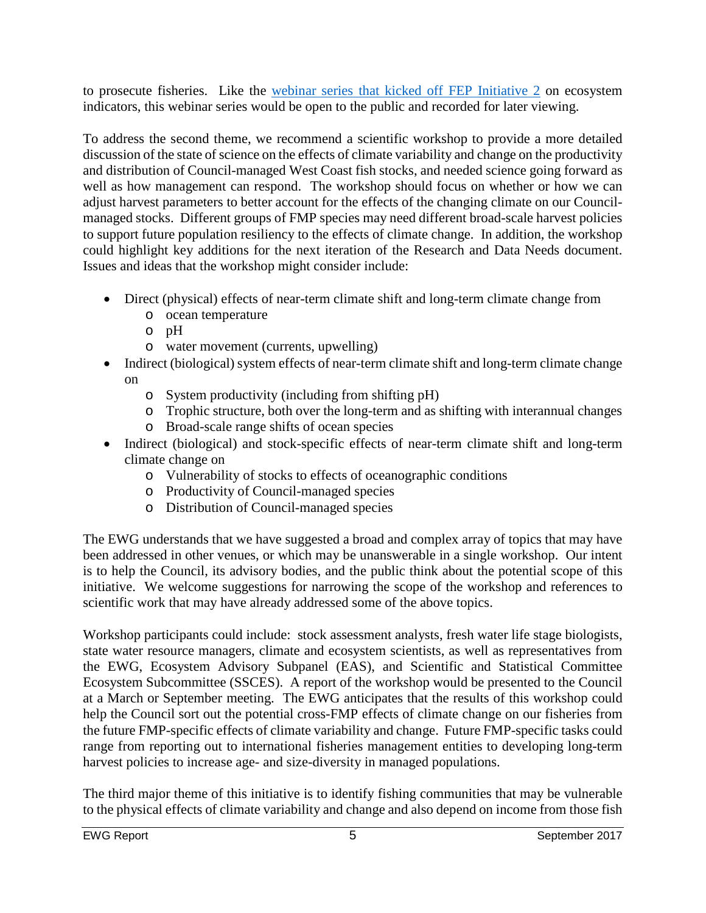to prosecute fisheries. Like the [webinar series that kicked off FEP Initiative 2](http://www.pcouncil.org/ecosystem-based-management/coordinated-ecosystem-indicator-review-initiative/webinar-series-on-ecosystem-indicators/) on ecosystem indicators, this webinar series would be open to the public and recorded for later viewing.

To address the second theme, we recommend a scientific workshop to provide a more detailed discussion of the state of science on the effects of climate variability and change on the productivity and distribution of Council-managed West Coast fish stocks, and needed science going forward as well as how management can respond. The workshop should focus on whether or how we can adjust harvest parameters to better account for the effects of the changing climate on our Councilmanaged stocks. Different groups of FMP species may need different broad-scale harvest policies to support future population resiliency to the effects of climate change. In addition, the workshop could highlight key additions for the next iteration of the Research and Data Needs document. Issues and ideas that the workshop might consider include:

- Direct (physical) effects of near-term climate shift and long-term climate change from
	- o ocean temperature
	- o pH
	- o water movement (currents, upwelling)
- Indirect (biological) system effects of near-term climate shift and long-term climate change on
	- o System productivity (including from shifting pH)
	- o Trophic structure, both over the long-term and as shifting with interannual changes
	- o Broad-scale range shifts of ocean species
- Indirect (biological) and stock-specific effects of near-term climate shift and long-term climate change on
	- o Vulnerability of stocks to effects of oceanographic conditions
	- o Productivity of Council-managed species
	- o Distribution of Council-managed species

The EWG understands that we have suggested a broad and complex array of topics that may have been addressed in other venues, or which may be unanswerable in a single workshop. Our intent is to help the Council, its advisory bodies, and the public think about the potential scope of this initiative. We welcome suggestions for narrowing the scope of the workshop and references to scientific work that may have already addressed some of the above topics.

Workshop participants could include: stock assessment analysts, fresh water life stage biologists, state water resource managers, climate and ecosystem scientists, as well as representatives from the EWG, Ecosystem Advisory Subpanel (EAS), and Scientific and Statistical Committee Ecosystem Subcommittee (SSCES). A report of the workshop would be presented to the Council at a March or September meeting. The EWG anticipates that the results of this workshop could help the Council sort out the potential cross-FMP effects of climate change on our fisheries from the future FMP-specific effects of climate variability and change. Future FMP-specific tasks could range from reporting out to international fisheries management entities to developing long-term harvest policies to increase age- and size-diversity in managed populations.

The third major theme of this initiative is to identify fishing communities that may be vulnerable to the physical effects of climate variability and change and also depend on income from those fish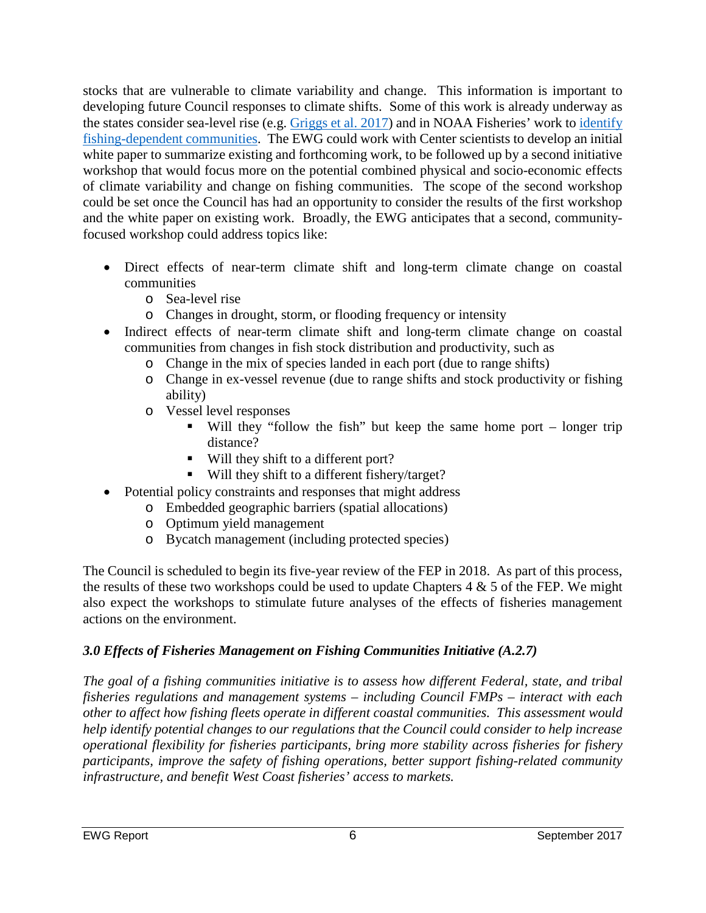stocks that are vulnerable to climate variability and change. This information is important to developing future Council responses to climate shifts. Some of this work is already underway as the states consider sea-level rise (e.g. [Griggs et al. 2017\)](http://www.opc.ca.gov/webmaster/ftp/pdf/docs/rising-seas-in-california-an-update-on-sea-level-rise-science.pdf) and in NOAA Fisheries' work to [identify](http://www.st.nmfs.noaa.gov/humandimensions/social-indicators/)  [fishing-dependent communities.](http://www.st.nmfs.noaa.gov/humandimensions/social-indicators/) The EWG could work with Center scientists to develop an initial white paper to summarize existing and forthcoming work, to be followed up by a second initiative workshop that would focus more on the potential combined physical and socio-economic effects of climate variability and change on fishing communities. The scope of the second workshop could be set once the Council has had an opportunity to consider the results of the first workshop and the white paper on existing work. Broadly, the EWG anticipates that a second, communityfocused workshop could address topics like:

- Direct effects of near-term climate shift and long-term climate change on coastal communities
	- o Sea-level rise
	- o Changes in drought, storm, or flooding frequency or intensity
- Indirect effects of near-term climate shift and long-term climate change on coastal communities from changes in fish stock distribution and productivity, such as
	- o Change in the mix of species landed in each port (due to range shifts)
	- o Change in ex-vessel revenue (due to range shifts and stock productivity or fishing ability)
	- o Vessel level responses
		- Will they "follow the fish" but keep the same home port longer trip distance?
		- Will they shift to a different port?
		- Will they shift to a different fishery/target?
- Potential policy constraints and responses that might address
	- o Embedded geographic barriers (spatial allocations)
		- o Optimum yield management
		- o Bycatch management (including protected species)

The Council is scheduled to begin its five-year review of the FEP in 2018. As part of this process, the results of these two workshops could be used to update Chapters  $4 \& 5$  of the FEP. We might also expect the workshops to stimulate future analyses of the effects of fisheries management actions on the environment.

# <span id="page-5-0"></span>*3.0 Effects of Fisheries Management on Fishing Communities Initiative (A.2.7)*

*The goal of a fishing communities initiative is to assess how different Federal, state, and tribal fisheries regulations and management systems – including Council FMPs – interact with each other to affect how fishing fleets operate in different coastal communities. This assessment would help identify potential changes to our regulations that the Council could consider to help increase operational flexibility for fisheries participants, bring more stability across fisheries for fishery participants, improve the safety of fishing operations, better support fishing-related community infrastructure, and benefit West Coast fisheries' access to markets.*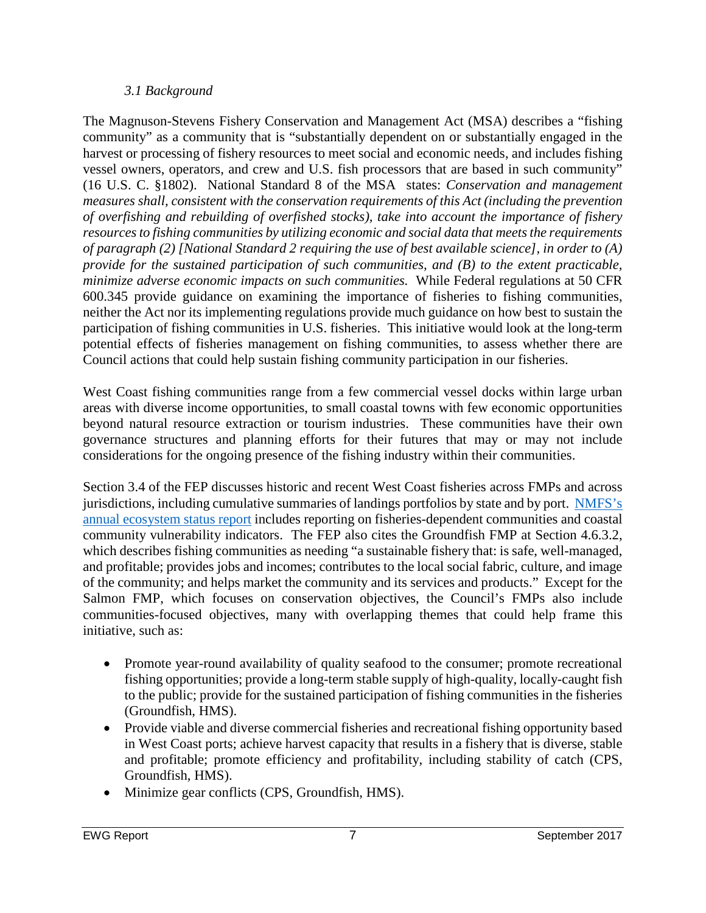#### *3.1 Background*

<span id="page-6-0"></span>The Magnuson-Stevens Fishery Conservation and Management Act (MSA) describes a "fishing community" as a community that is "substantially dependent on or substantially engaged in the harvest or processing of fishery resources to meet social and economic needs, and includes fishing vessel owners, operators, and crew and U.S. fish processors that are based in such community" (16 U.S. C. §1802). National Standard 8 of the MSA states: *Conservation and management measures shall, consistent with the conservation requirements of this Act (including the prevention of overfishing and rebuilding of overfished stocks), take into account the importance of fishery resources to fishing communities by utilizing economic and social data that meets the requirements of paragraph (2) [National Standard 2 requiring the use of best available science], in order to (A) provide for the sustained participation of such communities, and (B) to the extent practicable, minimize adverse economic impacts on such communities.* While Federal regulations at 50 CFR 600.345 provide guidance on examining the importance of fisheries to fishing communities, neither the Act nor its implementing regulations provide much guidance on how best to sustain the participation of fishing communities in U.S. fisheries. This initiative would look at the long-term potential effects of fisheries management on fishing communities, to assess whether there are Council actions that could help sustain fishing community participation in our fisheries.

West Coast fishing communities range from a few commercial vessel docks within large urban areas with diverse income opportunities, to small coastal towns with few economic opportunities beyond natural resource extraction or tourism industries. These communities have their own governance structures and planning efforts for their futures that may or may not include considerations for the ongoing presence of the fishing industry within their communities.

Section 3.4 of the FEP discusses historic and recent West Coast fisheries across FMPs and across jurisdictions, including cumulative summaries of landings portfolios by state and by port. [NMFS's](http://www.pcouncil.org/ecosystem-based-management/annual-state-of-the-california-current-ecosystem/)  [annual ecosystem status report](http://www.pcouncil.org/ecosystem-based-management/annual-state-of-the-california-current-ecosystem/) includes reporting on fisheries-dependent communities and coastal community vulnerability indicators. The FEP also cites the Groundfish FMP at Section 4.6.3.2, which describes fishing communities as needing "a sustainable fishery that: is safe, well-managed, and profitable; provides jobs and incomes; contributes to the local social fabric, culture, and image of the community; and helps market the community and its services and products." Except for the Salmon FMP, which focuses on conservation objectives, the Council's FMPs also include communities-focused objectives, many with overlapping themes that could help frame this initiative, such as:

- Promote year-round availability of quality seafood to the consumer; promote recreational fishing opportunities; provide a long-term stable supply of high-quality, locally-caught fish to the public; provide for the sustained participation of fishing communities in the fisheries (Groundfish, HMS).
- Provide viable and diverse commercial fisheries and recreational fishing opportunity based in West Coast ports; achieve harvest capacity that results in a fishery that is diverse, stable and profitable; promote efficiency and profitability, including stability of catch (CPS, Groundfish, HMS).
- Minimize gear conflicts (CPS, Groundfish, HMS).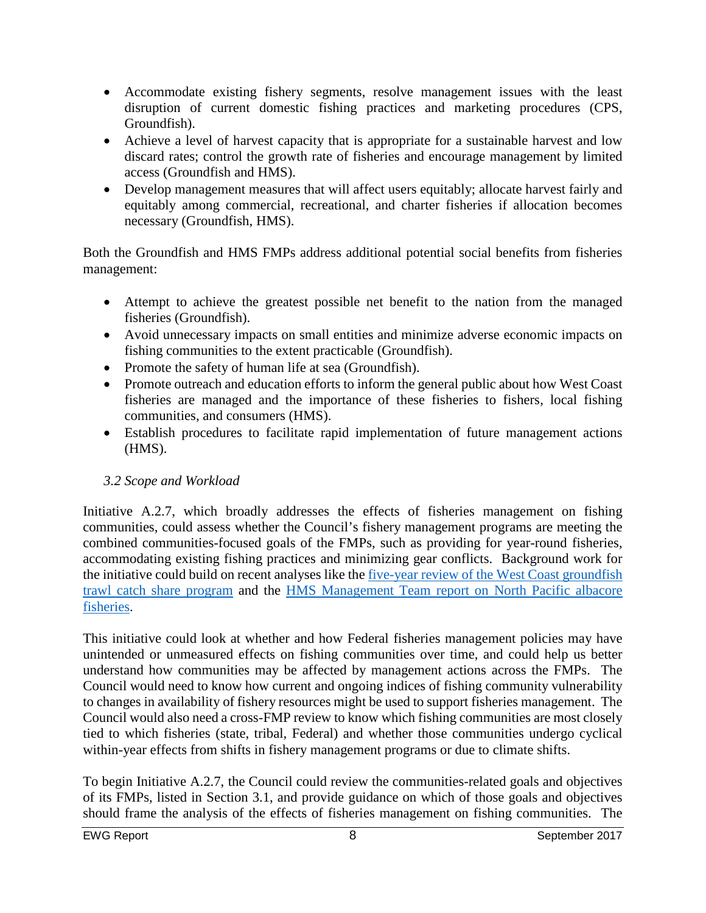- Accommodate existing fishery segments, resolve management issues with the least disruption of current domestic fishing practices and marketing procedures (CPS, Groundfish).
- Achieve a level of harvest capacity that is appropriate for a sustainable harvest and low discard rates; control the growth rate of fisheries and encourage management by limited access (Groundfish and HMS).
- Develop management measures that will affect users equitably; allocate harvest fairly and equitably among commercial, recreational, and charter fisheries if allocation becomes necessary (Groundfish, HMS).

Both the Groundfish and HMS FMPs address additional potential social benefits from fisheries management:

- Attempt to achieve the greatest possible net benefit to the nation from the managed fisheries (Groundfish).
- Avoid unnecessary impacts on small entities and minimize adverse economic impacts on fishing communities to the extent practicable (Groundfish).
- Promote the safety of human life at sea (Groundfish).
- Promote outreach and education efforts to inform the general public about how West Coast fisheries are managed and the importance of these fisheries to fishers, local fishing communities, and consumers (HMS).
- Establish procedures to facilitate rapid implementation of future management actions (HMS).

## <span id="page-7-0"></span>*3.2 Scope and Workload*

Initiative A.2.7, which broadly addresses the effects of fisheries management on fishing communities, could assess whether the Council's fishery management programs are meeting the combined communities-focused goals of the FMPs, such as providing for year-round fisheries, accommodating existing fishing practices and minimizing gear conflicts. Background work for the initiative could build on recent analyses like the [five-year review of the West Coast groundfish](http://www.pcouncil.org/wp-content/uploads/2017/05/F2a_CatchShareAnalystsReport_FullReport_ElectricOnly_Jun2017BB.pdf)  [trawl catch share program](http://www.pcouncil.org/wp-content/uploads/2017/05/F2a_CatchShareAnalystsReport_FullReport_ElectricOnly_Jun2017BB.pdf) and the [HMS Management Team report on North Pacific albacore](http://www.pcouncil.org/wp-content/uploads/H2b_HMSMT_APR2011BB.pdf)  [fisheries.](http://www.pcouncil.org/wp-content/uploads/H2b_HMSMT_APR2011BB.pdf)

This initiative could look at whether and how Federal fisheries management policies may have unintended or unmeasured effects on fishing communities over time, and could help us better understand how communities may be affected by management actions across the FMPs. The Council would need to know how current and ongoing indices of fishing community vulnerability to changes in availability of fishery resources might be used to support fisheries management. The Council would also need a cross-FMP review to know which fishing communities are most closely tied to which fisheries (state, tribal, Federal) and whether those communities undergo cyclical within-year effects from shifts in fishery management programs or due to climate shifts.

To begin Initiative A.2.7, the Council could review the communities-related goals and objectives of its FMPs, listed in Section 3.1, and provide guidance on which of those goals and objectives should frame the analysis of the effects of fisheries management on fishing communities. The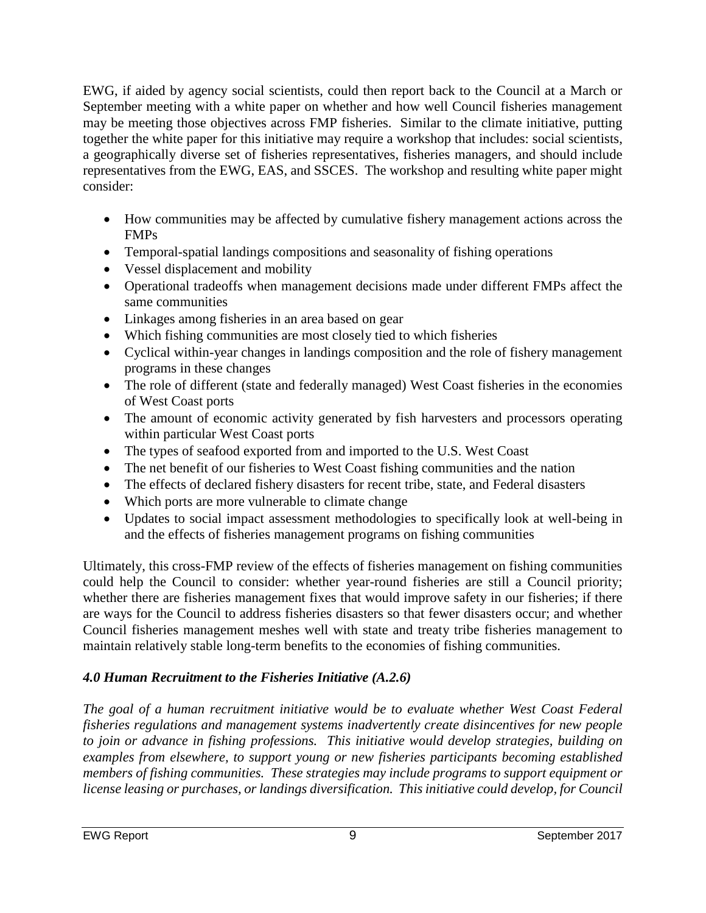EWG, if aided by agency social scientists, could then report back to the Council at a March or September meeting with a white paper on whether and how well Council fisheries management may be meeting those objectives across FMP fisheries. Similar to the climate initiative, putting together the white paper for this initiative may require a workshop that includes: social scientists, a geographically diverse set of fisheries representatives, fisheries managers, and should include representatives from the EWG, EAS, and SSCES. The workshop and resulting white paper might consider:

- How communities may be affected by cumulative fishery management actions across the FMPs
- Temporal-spatial landings compositions and seasonality of fishing operations
- Vessel displacement and mobility
- Operational tradeoffs when management decisions made under different FMPs affect the same communities
- Linkages among fisheries in an area based on gear
- Which fishing communities are most closely tied to which fisheries
- Cyclical within-year changes in landings composition and the role of fishery management programs in these changes
- The role of different (state and federally managed) West Coast fisheries in the economies of West Coast ports
- The amount of economic activity generated by fish harvesters and processors operating within particular West Coast ports
- The types of seafood exported from and imported to the U.S. West Coast
- The net benefit of our fisheries to West Coast fishing communities and the nation
- The effects of declared fishery disasters for recent tribe, state, and Federal disasters
- Which ports are more vulnerable to climate change
- Updates to social impact assessment methodologies to specifically look at well-being in and the effects of fisheries management programs on fishing communities

Ultimately, this cross-FMP review of the effects of fisheries management on fishing communities could help the Council to consider: whether year-round fisheries are still a Council priority; whether there are fisheries management fixes that would improve safety in our fisheries; if there are ways for the Council to address fisheries disasters so that fewer disasters occur; and whether Council fisheries management meshes well with state and treaty tribe fisheries management to maintain relatively stable long-term benefits to the economies of fishing communities.

# <span id="page-8-0"></span>*4.0 Human Recruitment to the Fisheries Initiative (A.2.6)*

*The goal of a human recruitment initiative would be to evaluate whether West Coast Federal fisheries regulations and management systems inadvertently create disincentives for new people to join or advance in fishing professions. This initiative would develop strategies, building on examples from elsewhere, to support young or new fisheries participants becoming established members of fishing communities. These strategies may include programs to support equipment or license leasing or purchases, or landings diversification. This initiative could develop, for Council*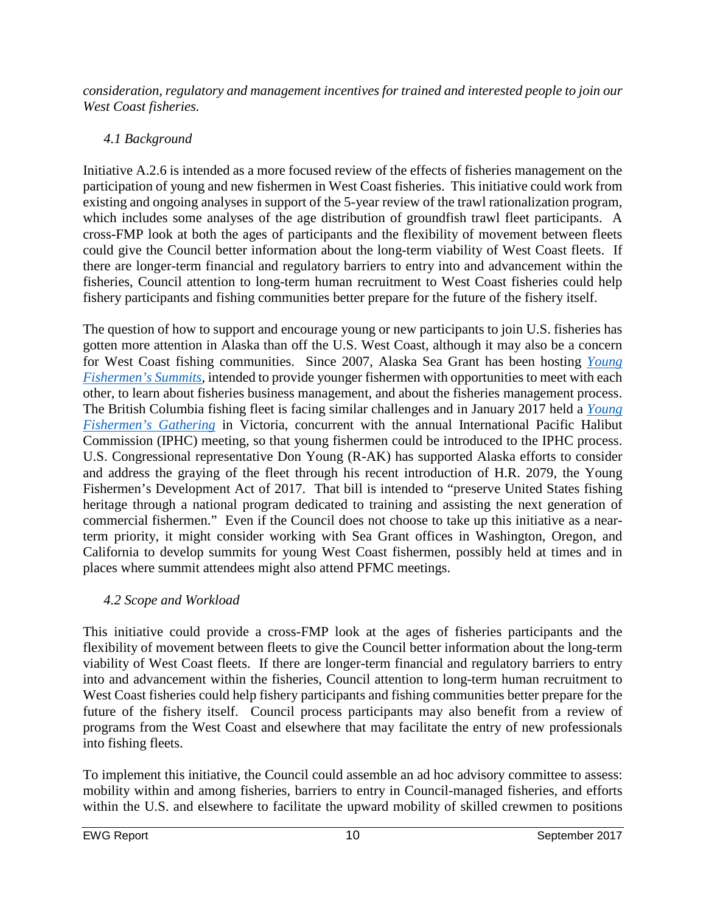*consideration, regulatory and management incentives for trained and interested people to join our West Coast fisheries.* 

## <span id="page-9-0"></span>*4.1 Background*

Initiative A.2.6 is intended as a more focused review of the effects of fisheries management on the participation of young and new fishermen in West Coast fisheries. This initiative could work from existing and ongoing analyses in support of the 5-year review of the trawl rationalization program, which includes some analyses of the age distribution of groundfish trawl fleet participants. A cross-FMP look at both the ages of participants and the flexibility of movement between fleets could give the Council better information about the long-term viability of West Coast fleets. If there are longer-term financial and regulatory barriers to entry into and advancement within the fisheries, Council attention to long-term human recruitment to West Coast fisheries could help fishery participants and fishing communities better prepare for the future of the fishery itself.

The question of how to support and encourage young or new participants to join U.S. fisheries has gotten more attention in Alaska than off the U.S. West Coast, although it may also be a concern for West Coast fishing communities. Since 2007, Alaska Sea Grant has been hosting *[Young](https://seagrant.uaf.edu/map/workshops/ayfs/)  [Fishermen's Summits,](https://seagrant.uaf.edu/map/workshops/ayfs/)* intended to provide younger fishermen with opportunities to meet with each other, to learn about fisheries business management, and about the fisheries management process. The British Columbia fishing fleet is facing similar challenges and in January 2017 held a *[Young](http://bcyfg2016.wixsite.com/bcyfg)  [Fishermen's Gathering](http://bcyfg2016.wixsite.com/bcyfg)* in Victoria, concurrent with the annual International Pacific Halibut Commission (IPHC) meeting, so that young fishermen could be introduced to the IPHC process. U.S. Congressional representative Don Young (R-AK) has supported Alaska efforts to consider and address the graying of the fleet through his recent introduction of H.R. 2079, the Young Fishermen's Development Act of 2017. That bill is intended to "preserve United States fishing heritage through a national program dedicated to training and assisting the next generation of commercial fishermen." Even if the Council does not choose to take up this initiative as a nearterm priority, it might consider working with Sea Grant offices in Washington, Oregon, and California to develop summits for young West Coast fishermen, possibly held at times and in places where summit attendees might also attend PFMC meetings.

# <span id="page-9-1"></span>*4.2 Scope and Workload*

This initiative could provide a cross-FMP look at the ages of fisheries participants and the flexibility of movement between fleets to give the Council better information about the long-term viability of West Coast fleets. If there are longer-term financial and regulatory barriers to entry into and advancement within the fisheries, Council attention to long-term human recruitment to West Coast fisheries could help fishery participants and fishing communities better prepare for the future of the fishery itself. Council process participants may also benefit from a review of programs from the West Coast and elsewhere that may facilitate the entry of new professionals into fishing fleets.

To implement this initiative, the Council could assemble an ad hoc advisory committee to assess: mobility within and among fisheries, barriers to entry in Council-managed fisheries, and efforts within the U.S. and elsewhere to facilitate the upward mobility of skilled crewmen to positions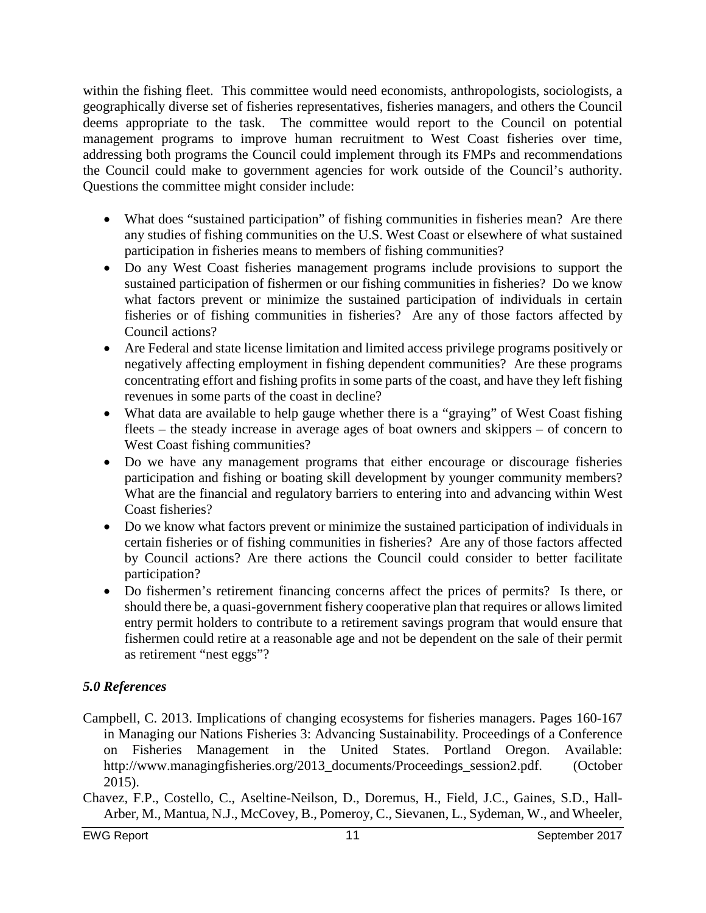within the fishing fleet. This committee would need economists, anthropologists, sociologists, a geographically diverse set of fisheries representatives, fisheries managers, and others the Council deems appropriate to the task. The committee would report to the Council on potential management programs to improve human recruitment to West Coast fisheries over time, addressing both programs the Council could implement through its FMPs and recommendations the Council could make to government agencies for work outside of the Council's authority. Questions the committee might consider include:

- What does "sustained participation" of fishing communities in fisheries mean? Are there any studies of fishing communities on the U.S. West Coast or elsewhere of what sustained participation in fisheries means to members of fishing communities?
- Do any West Coast fisheries management programs include provisions to support the sustained participation of fishermen or our fishing communities in fisheries? Do we know what factors prevent or minimize the sustained participation of individuals in certain fisheries or of fishing communities in fisheries? Are any of those factors affected by Council actions?
- Are Federal and state license limitation and limited access privilege programs positively or negatively affecting employment in fishing dependent communities? Are these programs concentrating effort and fishing profits in some parts of the coast, and have they left fishing revenues in some parts of the coast in decline?
- What data are available to help gauge whether there is a "graying" of West Coast fishing fleets – the steady increase in average ages of boat owners and skippers – of concern to West Coast fishing communities?
- Do we have any management programs that either encourage or discourage fisheries participation and fishing or boating skill development by younger community members? What are the financial and regulatory barriers to entering into and advancing within West Coast fisheries?
- Do we know what factors prevent or minimize the sustained participation of individuals in certain fisheries or of fishing communities in fisheries? Are any of those factors affected by Council actions? Are there actions the Council could consider to better facilitate participation?
- Do fishermen's retirement financing concerns affect the prices of permits? Is there, or should there be, a quasi-government fishery cooperative plan that requires or allows limited entry permit holders to contribute to a retirement savings program that would ensure that fishermen could retire at a reasonable age and not be dependent on the sale of their permit as retirement "nest eggs"?

## <span id="page-10-0"></span>*5.0 References*

- Campbell, C. 2013. Implications of changing ecosystems for fisheries managers. Pages 160-167 in Managing our Nations Fisheries 3: Advancing Sustainability. Proceedings of a Conference on Fisheries Management in the United States. Portland Oregon. Available: http://www.managingfisheries.org/2013\_documents/Proceedings\_session2.pdf. (October 2015).
- Chavez, F.P., Costello, C., Aseltine-Neilson, D., Doremus, H., Field, J.C., Gaines, S.D., Hall-Arber, M., Mantua, N.J., McCovey, B., Pomeroy, C., Sievanen, L., Sydeman, W., and Wheeler,